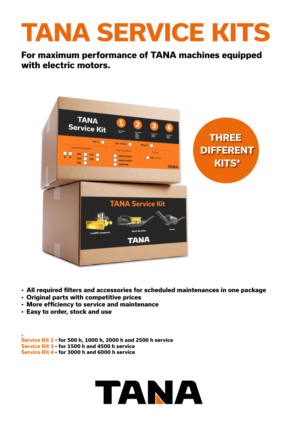## **TANA SERVICE KITS**

**For maximum performance of TANA machines equipped with electric motors.**



- **• All required filters and accessories for scheduled maintenances in one package**
- **• Original parts with competitive prices**
- **• More efficiency to service and maintenance**
- **• Easy to order, stock and use**

**\* Service Kit 2 • for 500 h, 1000 h, 2000 h and 2500 h service Service Kit 3 • for 1500 h and 4500 h service Service Kit 4 • for 3000 h and 6000 h service**